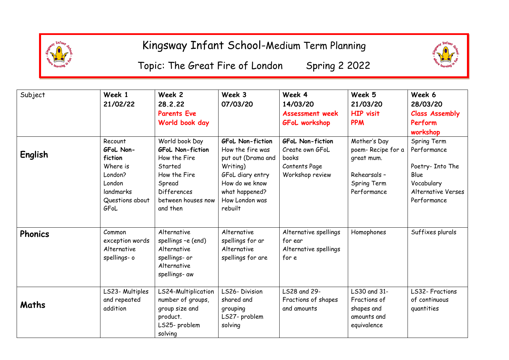

Topic: The Great Fire of London Spring 2 2022



| Subject        | Week 1<br>21/02/22                                                                                       | Week 2<br>28.2.22<br><b>Parents Eve</b><br>World book day                                                                                              | Week 3<br>07/03/20                                                                                                                                                 | Week 4<br>14/03/20<br><b>Assessment week</b><br><b>GFoL workshop</b>                    | Week 5<br>21/03/20<br><b>HIP visit</b><br><b>PPM</b>                                          | Week 6<br>28/03/20<br><b>Class Assembly</b><br>Perform<br>workshop                                        |
|----------------|----------------------------------------------------------------------------------------------------------|--------------------------------------------------------------------------------------------------------------------------------------------------------|--------------------------------------------------------------------------------------------------------------------------------------------------------------------|-----------------------------------------------------------------------------------------|-----------------------------------------------------------------------------------------------|-----------------------------------------------------------------------------------------------------------|
| English        | Recount<br>GFoL Non-<br>fiction<br>Where is<br>London?<br>London<br>landmarks<br>Questions about<br>GFoL | World book Day<br><b>GFoL Non-fiction</b><br>How the Fire<br>Started<br>How the Fire<br>Spread<br><b>Differences</b><br>between houses now<br>and then | <b>GFoL Non-fiction</b><br>How the fire was<br>put out (Drama and<br>Writing)<br>GFoL diary entry<br>How do we know<br>what happened?<br>How London was<br>rebuilt | <b>GFoL Non-fiction</b><br>Create own GFoL<br>books<br>Contents Page<br>Workshop review | Mother's Day<br>poem-Recipe for a<br>great mum.<br>Rehearsals -<br>Spring Term<br>Performance | Spring Term<br>Performance<br>Poetry- Into The<br>Blue<br>Vocabulary<br>Alternative Verses<br>Performance |
| <b>Phonics</b> | Common<br>exception words<br>Alternative<br>spellings- o                                                 | Alternative<br>spellings -e (end)<br>Alternative<br>spellings- or<br>Alternative<br>spellings- aw                                                      | Alternative<br>spellings for ar<br>Alternative<br>spellings for are                                                                                                | Alternative spellings<br>for ear<br>Alternative spellings<br>for e                      | Homophones                                                                                    | Suffixes plurals                                                                                          |
| Maths          | LS23- Multiples<br>and repeated<br>addition                                                              | LS24-Multiplication<br>number of groups,<br>group size and<br>product.<br>LS25- problem<br>solving                                                     | LS26-Division<br>shared and<br>grouping<br>LS27- problem<br>solving                                                                                                | LS28 and 29-<br>Fractions of shapes<br>and amounts                                      | LS30 and 31-<br>Fractions of<br>shapes and<br>amounts and<br>equivalence                      | LS32- Fractions<br>of continuous<br>quantities                                                            |